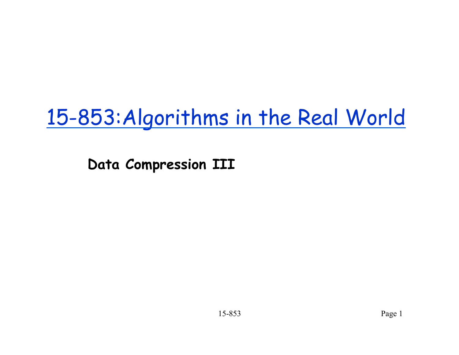# 15-853:Algorithms in the Real World

**Data Compression III**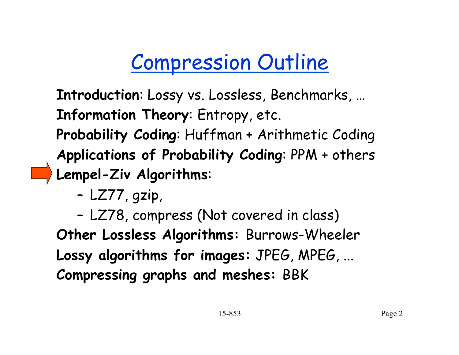# Compression Outline

**Introduction**: Lossy vs. Lossless, Benchmarks, … **Information Theory**: Entropy, etc. **Probability Coding**: Huffman + Arithmetic Coding **Applications of Probability Coding**: PPM + others **Lempel-Ziv Algorithms**:

– LZ77, gzip,

– LZ78, compress (Not covered in class) **Other Lossless Algorithms:** Burrows-Wheeler **Lossy algorithms for images:** JPEG, MPEG, ... **Compressing graphs and meshes:** BBK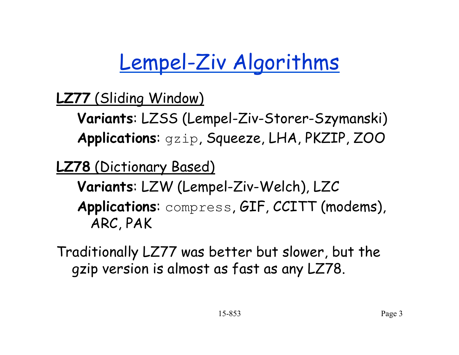# Lempel-Ziv Algorithms

**LZ77** (Sliding Window)

**Variants**: LZSS (Lempel-Ziv-Storer-Szymanski) **Applications**: gzip, Squeeze, LHA, PKZIP, ZOO

**LZ78** (Dictionary Based)

**Variants**: LZW (Lempel-Ziv-Welch), LZC **Applications**: compress, GIF, CCITT (modems), ARC, PAK

Traditionally LZ77 was better but slower, but the gzip version is almost as fast as any LZ78.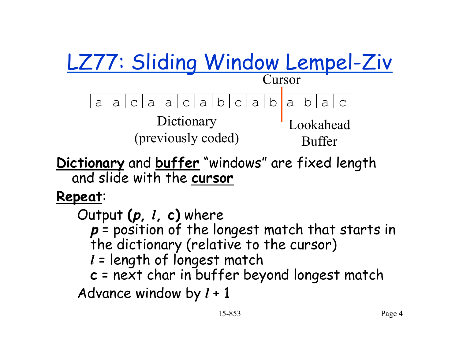

**Dictionary** and **buffer** "windows" are fixed length and slide with the **cursor** 

**Repeat**:

Output **(p,** *l***, c)** where **p** = position of the longest match that starts in the dictionary (relative to the cursor) *l* = length of longest match **c** = next char in buffer beyond longest match Advance window by *l* + 1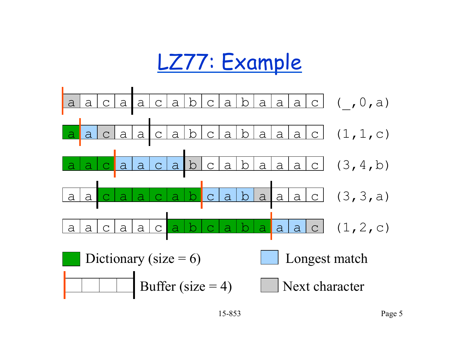## LZ77: Example

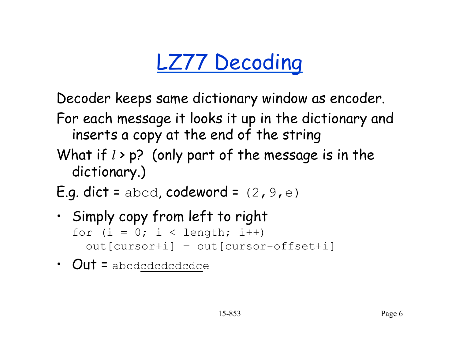# LZ77 Decoding

Decoder keeps same dictionary window as encoder.

- For each message it looks it up in the dictionary and inserts a copy at the end of the string
- What if  $l > p$ ? (only part of the message is in the dictionary.)
- E.g. dict = abcd, codeword =  $(2, 9, e)$
- Simply copy from left to right for  $(i = 0; i <$  length;  $i++)$ out[cursor+i] = out[cursor-offset+i]
- $Out = \text{abcdcdcd}$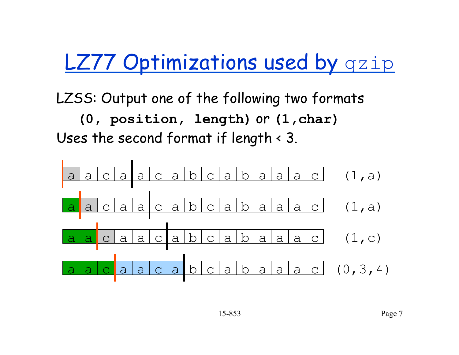#### **LZ77 Optimizations used by gzip**

LZSS: Output one of the following two formats

**(0, position, length)** or **(1,char)**  Uses the second format if length < 3.

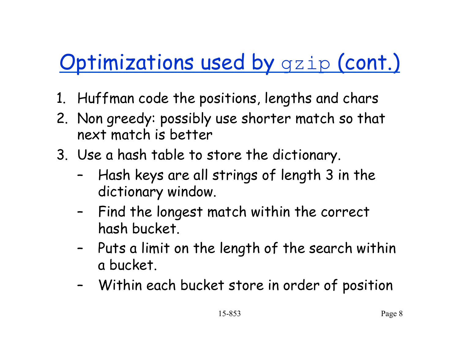# **Optimizations used by gzip (cont.)**

- 1. Huffman code the positions, lengths and chars
- 2. Non greedy: possibly use shorter match so that next match is better
- 3. Use a hash table to store the dictionary.
	- Hash keys are all strings of length 3 in the dictionary window.
	- Find the longest match within the correct hash bucket.
	- Puts a limit on the length of the search within a bucket.
	- Within each bucket store in order of position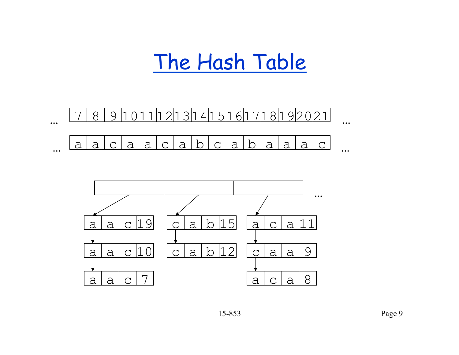#### The Hash Table



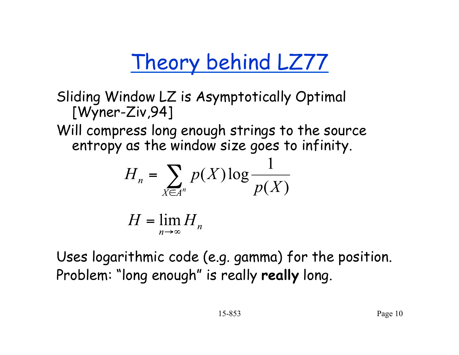# Theory behind LZ77

Sliding Window LZ is Asymptotically Optimal [Wyner-Ziv,94]

Will compress long enough strings to the source entropy as the window size goes to infinity.

$$
H_n = \sum_{X \in A^n} p(X) \log \frac{1}{p(X)}
$$

$$
H = \lim_{n \to \infty} H_n
$$

Uses logarithmic code (e.g. gamma) for the position. Problem: "long enough" is really **really** long.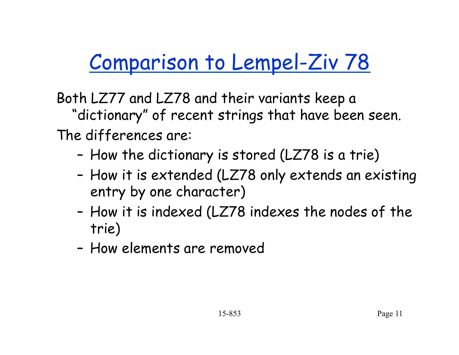# Comparison to Lempel-Ziv 78

Both LZ77 and LZ78 and their variants keep a "dictionary" of recent strings that have been seen. The differences are:

- How the dictionary is stored (LZ78 is a trie)
- How it is extended (LZ78 only extends an existing entry by one character)
- How it is indexed (LZ78 indexes the nodes of the trie)
- How elements are removed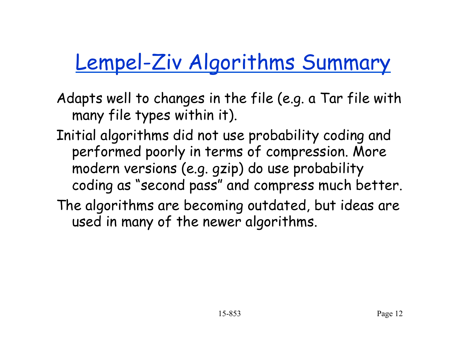# Lempel-Ziv Algorithms Summary

- Adapts well to changes in the file (e.g. a Tar file with many file types within it).
- Initial algorithms did not use probability coding and performed poorly in terms of compression. More modern versions (e.g. gzip) do use probability coding as "second pass" and compress much better.
- The algorithms are becoming outdated, but ideas are used in many of the newer algorithms.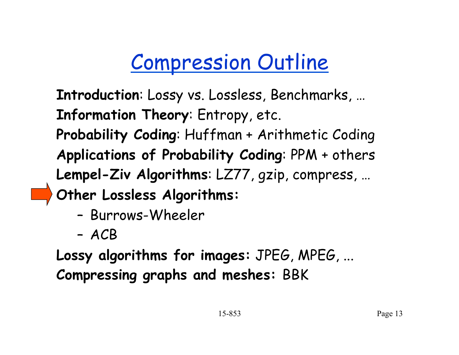# Compression Outline

**Introduction**: Lossy vs. Lossless, Benchmarks, … **Information Theory**: Entropy, etc. **Probability Coding**: Huffman + Arithmetic Coding **Applications of Probability Coding**: PPM + others **Lempel-Ziv Algorithms**: LZ77, gzip, compress, … **Other Lossless Algorithms:** 

- Burrows-Wheeler
- ACB

**Lossy algorithms for images:** JPEG, MPEG, ... **Compressing graphs and meshes:** BBK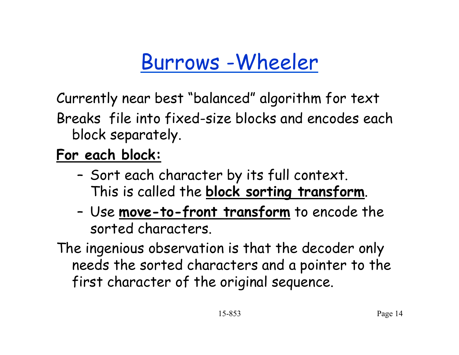## Burrows -Wheeler

Currently near best "balanced" algorithm for text

Breaks file into fixed-size blocks and encodes each block separately.

#### **For each block:**

- Sort each character by its full context. This is called the **block sorting transform**.
- Use **move-to-front transform** to encode the sorted characters.

The ingenious observation is that the decoder only needs the sorted characters and a pointer to the first character of the original sequence.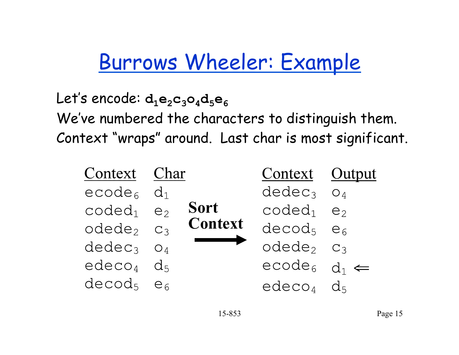## Burrows Wheeler: Example

Let's encode: d<sub>1</sub>e<sub>2</sub>c<sub>3</sub>o<sub>4</sub>d<sub>5</sub>e<sub>6</sub> We've numbered the characters to distinguish them. Context "wraps" around. Last char is most significant.

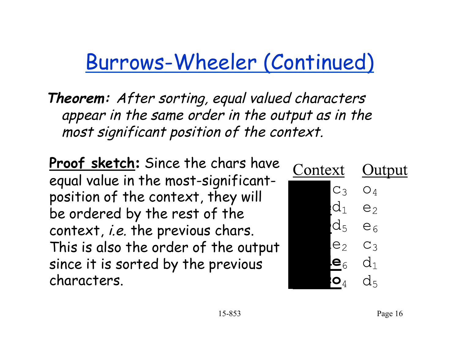## Burrows-Wheeler (Continued)

**Theorem:** After sorting, equal valued characters appear in the same order in the output as in the most significant position of the context.

**Proof sketch:** Since the chars have equal value in the most-significantposition of the context, they will be ordered by the rest of the context, i.e. the previous chars. This is also the order of the output since it is sorted by the previous characters.

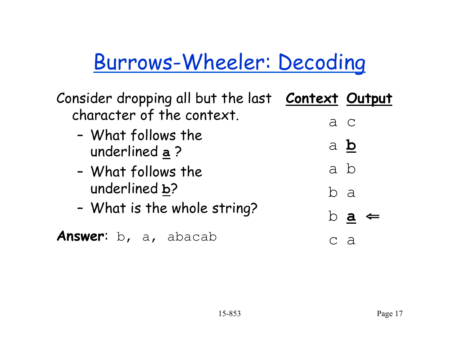# Burrows-Wheeler: Decoding

| Consider dropping all but the last <b>Context Output</b> |     |                               |
|----------------------------------------------------------|-----|-------------------------------|
| character of the context.                                | a c |                               |
| - What follows the<br>underlined a?                      | a b |                               |
| - What follows the                                       | a b |                               |
| underlined b?                                            | b a |                               |
| - What is the whole string?                              |     | $\mathbf b$ a<br>$\Leftarrow$ |
| Answer: b, a, abacab                                     |     | - പ                           |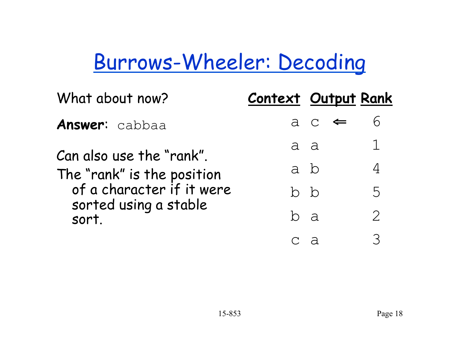## Burrows-Wheeler: Decoding

| What about now?                | Context Output Rank |     |                                        |               |
|--------------------------------|---------------------|-----|----------------------------------------|---------------|
| <b>Answer:</b> cabbaa          |                     |     | $a \thinspace c \thinspace \Leftarrow$ |               |
| Can also use the "rank".       | a a                 |     |                                        |               |
| The "rank" is the position     |                     | a b |                                        |               |
| of a character if it were      |                     | b b |                                        | 5             |
| sorted using a stable<br>sort. | b a                 |     |                                        | $\mathcal{P}$ |
|                                |                     |     |                                        |               |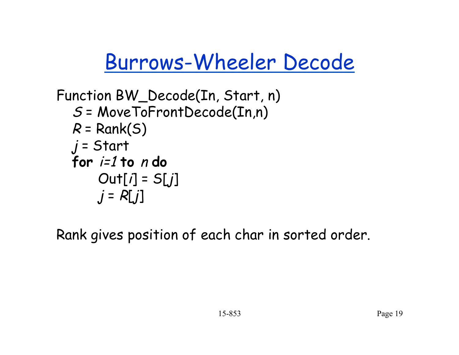Burrows-Wheeler Decode

```
Function BW_Decode(In, Start, n) 
S = MoveToFrontDecode(In,n) 
R = Rank(S)j = Start
for i=1 to n do
    Out[i] = S[j]j = R[j]
```
Rank gives position of each char in sorted order.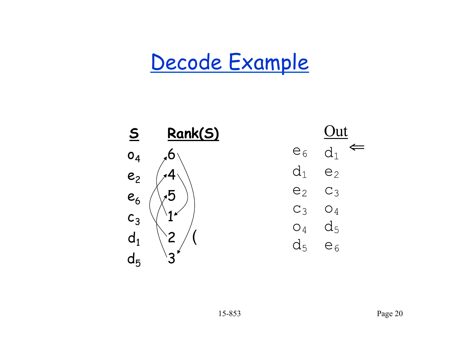## Decode Example



 $\Leftarrow$  $d_1$  $e<sub>6</sub>$  $d_1$  $e<sub>2</sub>$  $C_3$  $e<sub>2</sub>$  $C_3$   $O_4$  $O_4$   $d_5$  $d_5$  $e<sub>6</sub>$ 

 $Out$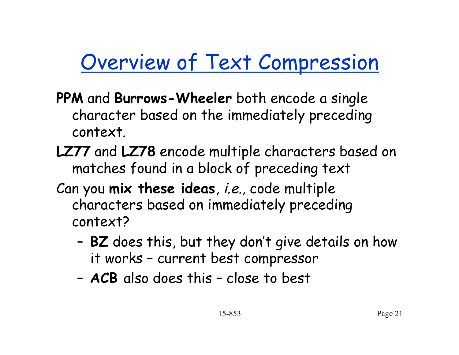## Overview of Text Compression

- **PPM** and **Burrows-Wheeler** both encode a single character based on the immediately preceding context.
- **LZ77** and **LZ78** encode multiple characters based on matches found in a block of preceding text
- Can you **mix these ideas**, i.e., code multiple characters based on immediately preceding context?
	- **BZ** does this, but they don't give details on how it works – current best compressor
	- **ACB** also does this close to best